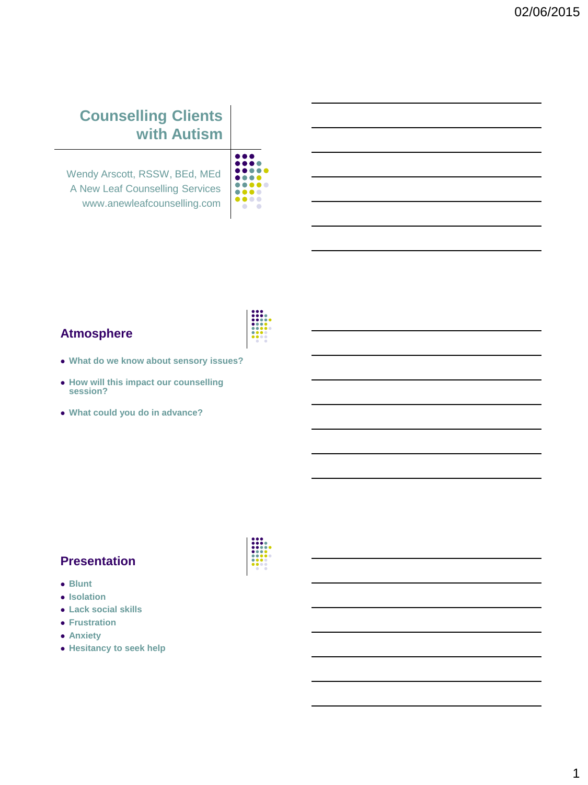# **Counselling Clients with Autism**

Wendy Arscott, RSSW, BEd, MEd A New Leaf Counselling Services www.anewleafcounselling.com

| o                          |
|----------------------------|
| ß.                         |
| $\bullet$ $\bullet$<br>a s |
| n.                         |
| o.<br>$\bullet$            |
|                            |
| $\bullet$<br>n.            |
|                            |
|                            |

#### **Atmosphere**



- **What do we know about sensory issues?**
- **How will this impact our counselling session?**
- **What could you do in advance?**

#### **Presentation**

- **Blunt**
- $\bullet$  Isolation
- **Lack social skills**
- **Frustration**
- **Anxiety**
- **Hesitancy to seek help**

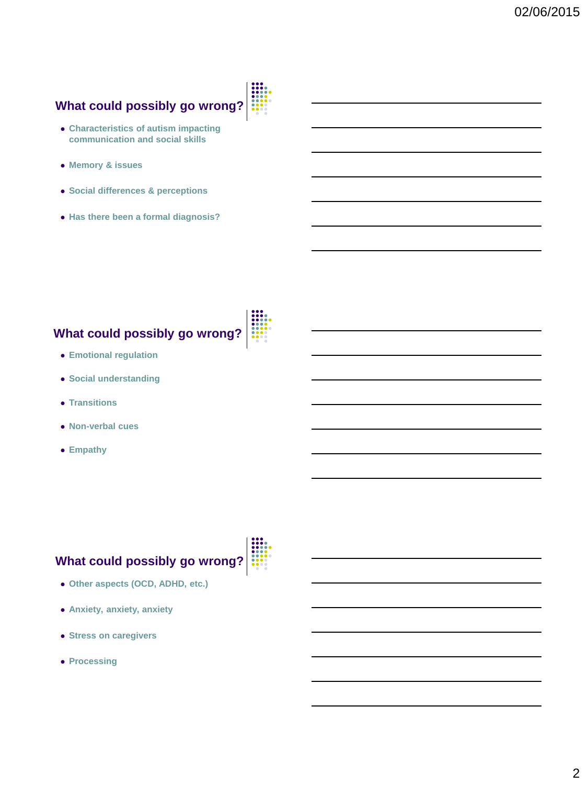# **What could possibly go wrong?**



- **Characteristics of autism impacting communication and social skills**
- **Memory & issues**
- **Social differences & perceptions**
- **Has there been a formal diagnosis?**

# **What could possibly go wrong?**

- **Emotional regulation**
- **Social understanding**
- **Transitions**
- **Non-verbal cues**
- **Empathy**

# **What could possibly go wrong?**

- **Other aspects (OCD, ADHD, etc.)**
- **Anxiety, anxiety, anxiety**
- **Stress on caregivers**
- **Processing**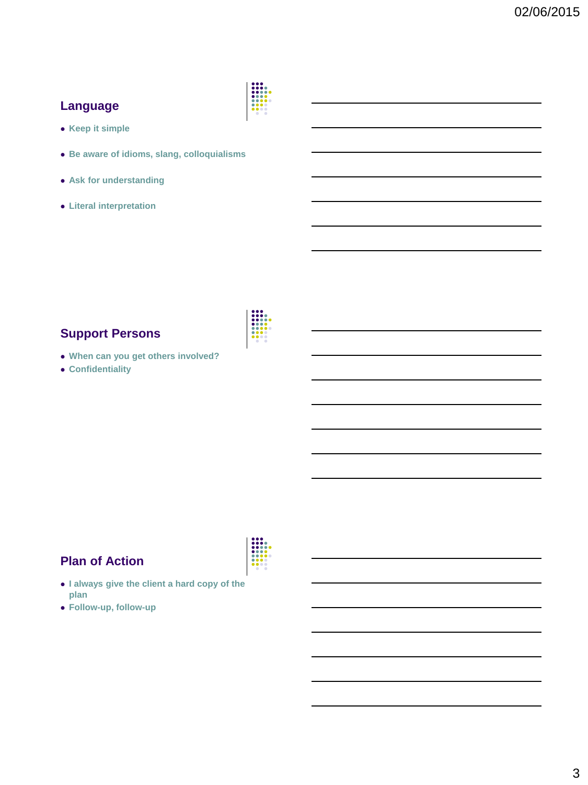## **Language**



- **Keep it simple**
- **Be aware of idioms, slang, colloquialisms**
- **Ask for understanding**
- **Literal interpretation**

#### **Support Persons**

- **When can you get others involved?**
- **Confidentiality**



## **Plan of Action**

- **I always give the client a hard copy of the plan**
- **Follow-up, follow-up**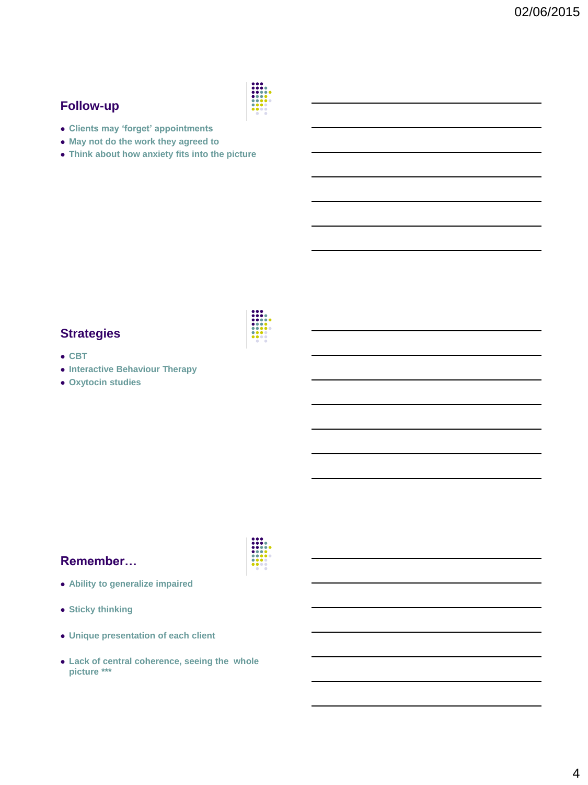### **Follow-up**



- **Clients may 'forget' appointments**
- **May not do the work they agreed to**
- **Think about how anxiety fits into the picture**

#### **Strategies**

- **CBT**
- **Interactive Behaviour Therapy**
- **Oxytocin studies**

#### **Remember…**

- **Ability to generalize impaired**
- **Sticky thinking**
- **Unique presentation of each client**
- **Lack of central coherence, seeing the whole picture \*\*\***